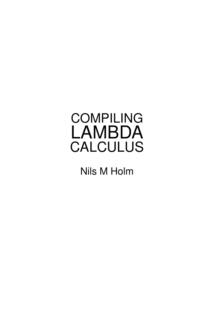## COMPILING LAMBDA **CALCULUS**

Nils M Holm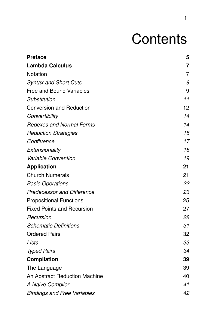# **Contents**

| <b>Preface</b>                       | 5              |
|--------------------------------------|----------------|
| <b>Lambda Calculus</b>               | $\overline{7}$ |
| Notation                             | $\overline{7}$ |
| <b>Syntax and Short Cuts</b>         | 9              |
| <b>Free and Bound Variables</b>      | 9              |
| Substitution                         | 11             |
| <b>Conversion and Reduction</b>      | 12             |
| Convertibility                       | 14             |
| <b>Redexes and Normal Forms</b>      | 14             |
| <b>Reduction Strategies</b>          | 15             |
| Confluence                           | 17             |
| Extensionality                       | 18             |
| Variable Convention                  | 19             |
| <b>Application</b>                   | 21             |
| <b>Church Numerals</b>               | 21             |
| <b>Basic Operations</b>              | 22             |
| <b>Predecessor and Difference</b>    | 23             |
| <b>Propositional Functions</b>       | 25             |
| <b>Fixed Points and Recursion</b>    | 27             |
| Recursion                            | 28             |
| <b>Schematic Definitions</b>         | 31             |
| <b>Ordered Pairs</b>                 | 32             |
| Lists                                | 33             |
| <b>Typed Pairs</b>                   | 34             |
| <b>Compilation</b>                   | 39             |
| The Language                         | 39             |
| <b>An Abstract Reduction Machine</b> | 40             |
| A Naive Compiler                     | 41             |
| <b>Bindings and Free Variables</b>   | 42             |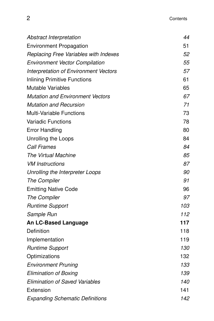| <b>Abstract Interpretation</b>          | 44  |
|-----------------------------------------|-----|
| <b>Environment Propagation</b>          | 51  |
| Replacing Free Variables with Indexes   | 52  |
| <b>Environment Vector Compilation</b>   | 55  |
| Interpretation of Environment Vectors   | 57  |
| <b>Inlining Primitive Functions</b>     | 61  |
| <b>Mutable Variables</b>                | 65  |
| <b>Mutation and Environment Vectors</b> | 67  |
| <b>Mutation and Recursion</b>           | 71  |
| <b>Multi-Variable Functions</b>         | 73  |
| <b>Variadic Functions</b>               | 78  |
| <b>Error Handling</b>                   | 80  |
| Unrolling the Loops                     | 84  |
| <b>Call Frames</b>                      | 84  |
| The Virtual Machine                     | 85  |
| <b>VM</b> Instructions                  | 87  |
| Unrolling the Interpreter Loops         | 90  |
| The Compiler                            | 91  |
| <b>Emitting Native Code</b>             | 96  |
| The Compiler                            | 97  |
| <b>Runtime Support</b>                  | 103 |
| Sample Run                              | 112 |
| <b>An LC-Based Language</b>             | 117 |
| Definition                              | 118 |
| Implementation                          | 119 |
| <b>Runtime Support</b>                  | 130 |
| Optimizations                           | 132 |
| <b>Environment Pruning</b>              | 133 |
| <b>Elimination of Boxing</b>            | 139 |
| <b>Elimination of Saved Variables</b>   | 140 |
| Extension                               | 141 |
| <b>Expanding Schematic Definitions</b>  | 142 |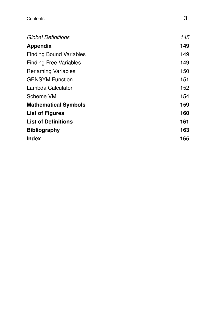| <b>Global Definitions</b>      | 145 |
|--------------------------------|-----|
| <b>Appendix</b>                | 149 |
| <b>Finding Bound Variables</b> | 149 |
| <b>Finding Free Variables</b>  | 149 |
| <b>Renaming Variables</b>      | 150 |
| <b>GENSYM Function</b>         | 151 |
| Lambda Calculator              | 152 |
| Scheme VM                      | 154 |
| <b>Mathematical Symbols</b>    | 159 |
| <b>List of Figures</b>         | 160 |
| <b>List of Definitions</b>     | 161 |
| <b>Bibliography</b>            | 163 |
| <b>Index</b>                   | 165 |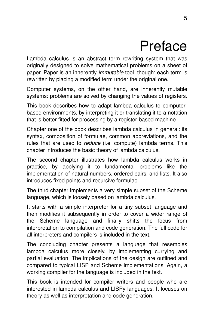## Preface

Lambda calculus is an abstract term rewriting system that was originally designed to solve mathematical problems on a sheet of paper. Paper is an inherently *immutable* tool, though: each term is rewritten by placing a modified term under the original one.

Computer systems, on the other hand, are inherently mutable systems: problems are solved by changing the values of registers.

This book describes how to adapt lambda calculus to computerbased environments, by interpreting it or translating it to a notation that is better fitted for processing by a register-based machine.

Chapter one of the book describes lambda calculus in general: its syntax, composition of formulae, common abbreviations, and the rules that are used to *reduce* (i.e. compute) lambda terms. This chapter introduces the basic theory of lambda calculus.

The second chapter illustrates how lambda calculus works in practice, by applying it to fundamental problems like the implementation of natural numbers, ordered pairs, and lists. It also introduces fixed points and recursive formulae.

The third chapter implements a very simple subset of the Scheme language, which is loosely based on lambda calculus.

It starts with a simple interpreter for a tiny subset language and then modifies it subsequently in order to cover a wider range of the Scheme language and finally shifts the focus from interpretation to compilation and code generation. The full code for all interpreters and compilers is included in the text.

The concluding chapter presents a language that resembles lambda calculus more closely, by implementing currying and partial evaluation. The implications of the design are outlined and compared to typical LISP and Scheme implementations. Again, a working compiler for the language is included in the text.

This book is intended for compiler writers and people who are interested in lambda calculus and LISPy languages. It focuses on theory as well as interpretation and code generation.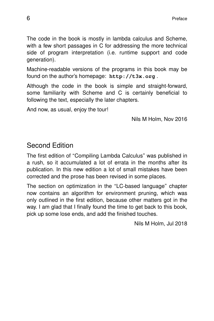The code in the book is mostly in lambda calculus and Scheme, with a few short passages in C for addressing the more technical side of program interpretation (i.e. runtime support and code generation).

Machine-readable versions of the programs in this book may be found on the author's homepage: **http://t3x.org** .

Although the code in the book is simple and straight-forward, some familiarity with Scheme and C is certainly beneficial to following the text, especially the later chapters.

And now, as usual, enjoy the tour!

Nils M Holm, Nov 2016

#### Second Edition

The first edition of ''Compiling Lambda Calculus'' was published in a rush, so it accumulated a lot of errata in the months after its publication. In this new edition a lot of small mistakes have been corrected and the prose has been revised in some places.

The section on optimization in the ''LC-based language'' chapter now contains an algorithm for environment pruning, which was only outlined in the first edition, because other matters got in the way. I am glad that I finally found the time to get back to this book, pick up some lose ends, and add the finished touches.

Nils M Holm, Jul 2018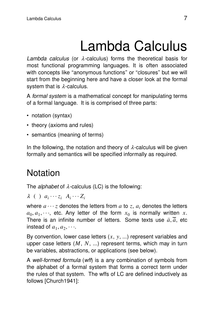# Lambda Calculus

Lambda calculus (or  $\lambda$ -calculus) forms the theoretical basis for most functional programming languages. It is often associated with concepts like "anonymous functions" or "closures" but we will start from the beginning here and have a closer look at the formal system that is  $\lambda$ -calculus.

A formal system is a mathematical concept for manipulating terms of a formal language. It is is comprised of three parts:

- notation (syntax)
- theory (axioms and rules)
- semantics (meaning of terms)

In the following, the notation and theory of  $\lambda$ -calculus will be given formally and semantics will be specified informally as required.

## **Notation**

The *alphabet* of  $\lambda$ -calculus (LC) is the following:

 $\lambda$  ( )  $a_i \cdots z_i$   $A_i \cdots Z_i$ 

where  $a \cdots z$  denotes the letters from  $a$  to  $z$ ,  $a_i$  denotes the letters  $a_0, a_1, \dots$ , etc. Any letter of the form  $x_0$  is normally written *x*. There is an infinite number of letters. Some texts use  $\bar{a}, \bar{\bar{a}}$ , etc instead of  $a_1, a_2, \cdots$ .

By convention, lower case letters  $(x, y, ...)$  represent variables and upper case letters  $(M, N, ...)$  represent terms, which may in turn be variables, abstractions, or applications (see below).

A well-formed formula (wff) is a any combination of symbols from the alphabet of a formal system that forms a correct term under the rules of that system. The wffs of LC are defined inductively as follows [Church1941]: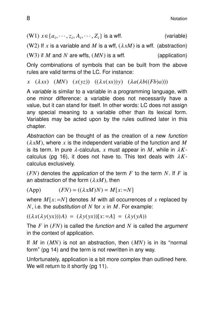$(W1)$   $x \in \{a_i, \dots, z_i, A_i, \dots, Z_i\}$  is a wff. (variable) (W2) If x is a variable and M is a wff,  $(\lambda xM)$  is a wff. (abstraction)  $(W3)$  if *M* and *N* are wffs,  $(MN)$  is a wff. (application)

Only combinations of symbols that can be built from the above rules are valid terms of the LC. For instance:

 $\overline{x}$  ( $\lambda xx$ ) ( $\overline{M}$ ) ( $\overline{x}(yz)$ ) ( $(\lambda x(xx))y$ ) ( $\lambda a(\lambda b((Fb)a)))$ 

A variable is similar to a variable in a programming language, with one minor difference: a variable does not necessarily have a value, but it can stand for itself. In other words: LC does not assign any special meaning to a variable other than its lexical form. Variables may be acted upon by the rules outlined later in this chapter.

Abstraction can be thought of as the creation of a new function  $(\lambda xM)$ , where x is the independent variable of the function and M is its term. In pure  $\lambda$ -calculus, x must appear in M, while in  $\lambda K$ calculus (pg 16), it does not have to. This text deals with  $\lambda K$ calculus exclusively.

 $(FN)$  denotes the *application* of the term *F* to the term *N*. If *F* is an abstraction of the form  $(\lambda xM)$ , then

(App)  $(FN) = ((\lambda xM)N) = M[x; =N]$ 

where  $M[x; = N]$  denotes M with all occurrences of x replaced by *N*, i.e. the substitution of *N* for *x* in *M*. For example:

 $((\lambda x(\lambda y(\lambda x)))A) = (\lambda y(\lambda x))[x:=A] = (\lambda y(\lambda A))$ 

The *F* in (*FN*) is called the function and *N* is called the argument in the context of application.

If  $M$  in  $(MN)$  is not an abstraction, then  $(MN)$  is in its "normal form" (pg 14) and the term is not rewritten in any way.

Unfortunately, application is a bit more complex than outlined here. We will return to it shortly  $(pq 11)$ .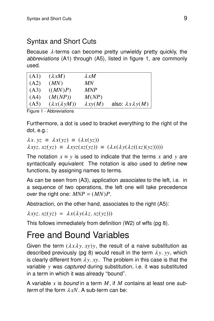### Syntax and Short Cuts

Because  $\lambda$ -terms can become pretty unwieldy pretty quickly, the abbreviations (A1) through (A5), listed in figure 1, are commonly used.

| (A1)             | $(\lambda xM)$            | $\lambda xM$    |                                |
|------------------|---------------------------|-----------------|--------------------------------|
| (A2)             | (MN)                      | МN              |                                |
| (A3)             | ((MN)P)                   | <b>MNP</b>      |                                |
| (A4)             | (M(NP))                   | M(NP)           |                                |
| (A5)             | $(\lambda x(\lambda yM))$ | $\lambda xy(M)$ | also: $\lambda x \lambda y(M)$ |
| $E_{\text{out}}$ | Abbrovictions             |                 |                                |

Figure 1 - Abbreviations

Furthermore, a dot is used to bracket everything to the right of the dot, e.g.:

 $\lambda x. yz = \lambda x(yz) = (\lambda x(yz))$  $\lambda xyz.$   $xz(yz) \equiv \lambda xyz(xz(yz)) \equiv (\lambda x(\lambda y(\lambda z((xz)(yz))))$ 

The notation  $x \equiv y$  is used to indicate that the terms x and y are syntactically equivalent. The notation is also used to define new functions, by assigning names to terms.

As can be seen from (A3), application associates to the left, i.e. in a sequence of two operations, the left one will take precedence over the right one:  $MNP = (MN)P$ .

Abstraction, on the other hand, associates to the right (A5):

 $\lambda xyz. xz(yz) = \lambda x(\lambda y(\lambda z. xz(yz)))$ 

This follows immediately from definition (W2) of wffs (pg 8).

### Free and Bound Variables

Given the term  $(\lambda x \lambda y. xy)y$ , the result of a naive substitution as described previously (pg 8) would result in the term  $\lambda y$ ,  $yy$ , which is clearly different from  $\lambda y$ . *xy*. The problem in this case is that the variable *y* was *captured* during substitution, i.e. it was substituted in a term in which it was already ''bound''.

A var iable *x* is bound in a term *M*, if *M* contains at least one sub*term* of the form  $\lambda xN$ . A sub-term can be: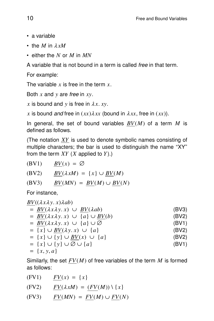- a variable
- the *M* in <sup>λ</sup> *xM*
- either the *N* or *M* in *MN*

A variable that is not bound in a term is called *free* in that term.

For example:

The variable  $x$  is free in the term  $x$ .

Both *x* and *y* are free in *xy*.

 $x$  is bound and  $y$  is free in  $\lambda x$ . *xy*.

*x* is bound and free in  $(xx) \lambda xx$  (bound in  $\lambda xx$ , free in  $(xx)$ ).

In general, the set of bound variables  $BV(M)$  of a term M is defined as follows.

(The notation *XY* is used to denote symbolic names consisting of multiple characters; the bar is used to distinguish the name "XY" from the term *XY* (*X* applied to *Y*).)

$$
(BV1) \qquad \underline{BV}(x) = \emptyset
$$

$$
(BV2) \qquad \underline{BV}(\lambda xM) = \{x\} \cup \underline{BV}(M)
$$

$$
(BV3) \qquad \underline{BV}(MN) = \underline{BV}(M) \cup \underline{BV}(N)
$$

For instance,

$$
\frac{BV((\lambda x\lambda y. x)\lambda ab)}{= \frac{BV(\lambda x\lambda y. x) \cup BV(\lambda ab)}{BV(\lambda x\lambda y. x) \cup \{a\} \cup BV(b)}
$$
\n(BV2)  
\n
$$
= \frac{BV(\lambda x\lambda y. x) \cup \{a\} \cup \emptyset}{\{x\} \cup BV(\lambda y. x) \cup \{a\}}
$$
\n(BV3)  
\n
$$
= \{x\} \cup \{y\} \cup BV(x) \cup \{a\}
$$
\n(BV4)  
\n
$$
= \{x\} \cup \{y\} \cup \emptyset \cup \{a\}
$$
\n(BV5)  
\n
$$
= \{x, y, a\}
$$
\n(BV6)  
\n(BV7)  
\n(BV8)  
\n(BV9)  
\n(BV1)  
\n(BV1)  
\n(BV1)  
\n(BV1)  
\n(BV2)  
\n(BV2)  
\n(BV2)  
\n(BV2)  
\n(BV4)  
\n(BV5)  
\n(BV6)  
\n(BV7)  
\n(BV8)  
\n(BV9)  
\n(BV9)  
\n(BV1)  
\n(BV2)  
\n(BV9)  
\n(BV1)  
\n(BV2)  
\n(BV9)  
\n(BV1)  
\n(BV2)  
\n(BV2)  
\n(BV9)  
\n(BV1)  
\n(BV2)  
\n(BV2)  
\n(BV9)  
\n(BV1)  
\n(BV2)  
\n(BV2)  
\n(BV1)  
\n(BV2)  
\n(BV4)  
\n(BV5)  
\n(BV2)  
\n(BV9)  
\n(BV1)  
\n(BV2)  
\n(BV2)  
\n(BV9)  
\n(BV1)  
\n(BV2)  
\n(BV1)  
\n(BV2)  
\n(BV2)  
\n(BV3)  
\n(BV4)  
\n(BV5)  
\n(BV6)  
\n(BV9)  
\n(BV1)  
\n(BV2)  
\n(BV1)  
\n(BV2)  
\n(BV2)  
\n(BV1)  
\n(BV2)  
\n(BV2)  
\n(AV4)  
\n(AV5)  
\n(AV6)  
\n(AV7)  
\n(AV8)  
\n(AV9)  
\n(AV1)  
\n(AV1)  
\n(AV1)  
\n(AV1)  
\n(AV1)

Similarly, the set  $FV(M)$  of free variables of the term  $M$  is formed as follows:

| (FV1) | $FV(x) = \{x\}$                            |
|-------|--------------------------------------------|
| (FV2) | $FV(\lambda xM) = (FV(M)) \setminus \{x\}$ |
| (FV3) | $FV(MN) = FV(M) \cup FV(N)$                |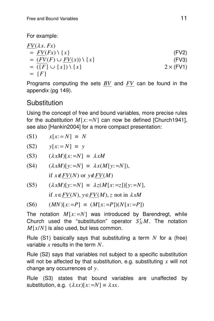For example:

$$
\frac{FV(\lambda x. Fx)}{=} \frac{FV(Fx) \setminus \{x\}}{FV(Fx) \setminus \{x\}}
$$
\n(FW2)\n
$$
= \frac{FV(F) \cup FV(x) \setminus \{x\}}{\left(\frac{F}{3}\right) \cup \{x\} \setminus \{x\}}
$$
\n(FW3)\n
$$
= \{F\}
$$
\n(FW1)

Programs computing the sets *BV* and *FV* can be found in the appendix (pg 149).

### **Substitution**

Using the concept of free and bound variables, more precise rules for the *substitution*  $M[x; = N]$  can now be defined [Church1941], see also [Hankin2004] for a more compact presentation:

$$
(S1) \qquad x[x := N] \equiv N
$$

 $y[x := N] \equiv y$ 

(S3)  $(\lambda xM)[x:=N] \equiv \lambda xM$ 

(S4) 
$$
(\lambda xM)[y:=N] \equiv \lambda x(M[y:=N]),
$$
  
if  $x \notin FV(N)$  or  $y \notin FV(M)$ 

$$
(S5) \qquad (\lambda xM)[y:=N] \equiv \lambda z(M[x:=z])[y:=N],
$$

if  $x ∈ FV(N)$ ,  $y ∈ FV(M)$ , *z* not in  $\lambda xM$ 

$$
(S6) \qquad (MN)[x:=P] \equiv (M[x:=P])(N[x:=P])
$$

The notation  $M[x:=N]$  was introduced by Barendregt, while Church used the "substitution" operator  $S_N^xM$ . The notation *M*[*x*/*N*] is also used, but less common.

Rule (S1) basically says that substituting a term  $N$  for a (free) variable *x* results in the term *N*.

Rule (S2) says that variables not subject to a specific substitution will not be affected by that substitution, e.g. substituting *x* will not change any occurrences of *y*.

Rule (S3) states that bound variables are unaffected by substitution, e.g.  $(\lambda xx)[x; = N] \equiv \lambda xx$ .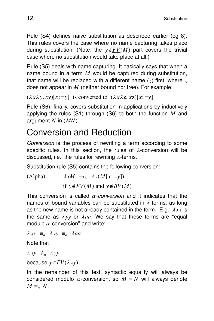Rule (S4) defines naive substitution as described earlier (pg 8). This rules covers the case where no name capturing takes place during substitution. (Note: the  $y \notin FV(M)$  part covers the trivial case where no substitution would take place at all.)

Rule (S5) deals with name capturing. It basically says that when a name bound in a term *M* would be captured during substitution, that name will be replaced with a different name (*z*) first, where *z* does not appear in *M* (neither bound nor free). For example:

```
(\lambda x \lambda y. xy)[x; =y] is converted to (\lambda x \lambda z. xz)[x; =y]
```
Rule (S6), finally, covers substitution in applications by inductively applying the rules (S1) through (S6) to both the function *M* and argument *N* in (*MN*).

### Conversion and Reduction

Conversion is the process of rewriting a term according to some specific rules. In this section, the rules of  $\lambda$ -conversion will be discussed, i.e. the rules for rewriting  $\lambda$ -terms.

Substitution rule (S5) contains the following conversion:

(Alpha)  $\lambda xM \rightarrow_{\alpha} \lambda y(M[x:=y])$ if  $y \notin FV(M)$  and  $y \notin BV(M)$ 

This conversion is called  $\alpha$ -conversion and it indicates that the names of bound variables can be substituted in  $\lambda$ -terms, as long as the new name is not already contained in the term.  $E.g.: \lambda xx$  is the same as  $\lambda y y$  or  $\lambda aa$ . We say that these terms are "equal modulo  $\alpha$ -conversion" and write:

 $\lambda xx \equiv_a \lambda yy \equiv_a \lambda aa$ 

Note that

 $λxy ≠<sub>a</sub> λ yy$ 

because  $y \in FV(\lambda xy)$ .

In the remainder of this text, syntactic equality will always be considered modulo  $\alpha$ -conversion, so  $M \equiv N$  will always denote  $M \equiv_{\alpha} N$ .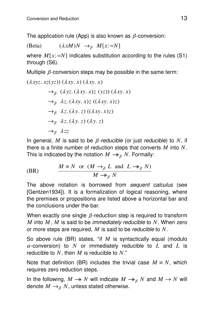The application rule (App) is also known as  $\beta$ -conversion:

(Beta)  $(\lambda xM)N \rightarrow_B M[x:=N]$ 

where  $M[x; = N]$  indicates substitution according to the rules (S1) through (S6).

Multiple  $\beta$ -conversion steps may be possible in the same term:

$$
(\lambda xyz. xz(yz)) (\lambda xy. x) (\lambda xy. x)
$$
  
\n
$$
\rightarrow_{\beta} (\lambda yz. (\lambda xy. x)z (yz)) (\lambda xy. x)
$$
  
\n
$$
\rightarrow_{\beta} \lambda z. (\lambda xy. x)z ((\lambda xy. x)z)
$$
  
\n
$$
\rightarrow_{\beta} \lambda z. (\lambda y. z) ((\lambda xy. x)z)
$$
  
\n
$$
\rightarrow_{\beta} \lambda z. (\lambda y. z) (\lambda y. z)
$$
  
\n
$$
\rightarrow_{\beta} \lambda zz
$$

In general, *M* is said to be  $\beta$ -reducible (or just reducible) to *N*, if there is a finite number of reduction steps that converts *M* into *N*. This is indicated by the notation  $M \rightarrow_{\beta} N$ . Formally:

(BR) 
$$
\frac{M \equiv N \text{ or } (M \rightarrow_{\beta} L \text{ and } L \rightarrow_{\beta} N)}{M \rightarrow_{\beta} N}
$$

The above notation is borrowed from sequent calculus (see [Gentzen1934]). It is a formalization of logical reasoning, where the premises or propositions are listed above a horizontal bar and the conclusions under the bar.

When exactly one single  $\beta$ -reduction step is required to transform *M* into *M*, *M* is said to be immediately reducible to *N*. When zero or more steps are required, *M* is said to be reducible to *N*.

So above rule (BR) states, "if *M* is syntactically equal (modulo  $\alpha$ -conversion) to N or immediately reducible to L and L is reducible to  $N$ , then  $M$  is reducible to  $N$ ."

Note that definition (BR) includes the trivial case  $M \equiv N$ , which requires zero reduction steps.

In the following,  $M \rightarrow N$  will indicate  $M \rightarrow_{\beta} N$  and  $M \rightarrow N$  will denote  $M \rightarrow_{\beta} N$ , unless stated otherwise.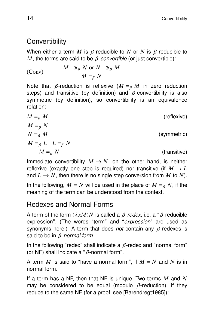### **Convertibility**

When either a term *M* is  $\beta$ -reducible to *N* or *N* is  $\beta$ -reducible to *M*, the terms are said to be  $\beta$ -convertible (or just convertible):

(Conv) 
$$
\frac{M \rightarrow_B N \text{ or } N \rightarrow_B M}{M =_B N}
$$

Note that  $\beta$ -reduction is reflexive ( $M =_{\beta} M$  in zero reduction steps) and transitive (by definition) and  $\beta$ -convertibility is also svmmetric (by definition), so convertibility is an equivalence relation:

$$
M =_{\beta} M
$$
 (reflexive)  
\n
$$
\frac{M =_{\beta} N}{N =_{\beta} M}
$$
 (symmetric)  
\n
$$
\frac{M =_{\beta} L L =_{\beta} N}{M =_{\beta} N}
$$
 (transitive)

Immediate convertibility  $M \to N$ , on the other hand, is neither reflexive (exactly one step is required) nor transitive (if  $M \rightarrow L$ and  $L \to N$ , then there is no single step conversion from M to N). In the following,  $M = N$  will be used in the place of  $M = g N$ , if the meaning of the term can be understood from the context.

### Redexes and Normal Forms

A term of the form  $(\lambda xM)N$  is called a  $\beta$ -redex, i.e. a " $\beta$ -reducible expression". (The words "term" and "expression" are used as synonyms here.) A term that does *not* contain any  $\beta$ -redexes is said to be in  $\beta$ -normal form.

In the following "redex" shall indicate a  $\beta$ -redex and "normal form" (or NF) shall indicate a " $\beta$ -normal form".

A term *M* is said to "have a normal form", if  $M = N$  and N is in normal form.

If a term has a NF, then that NF is unique. Two terms M and N may be considered to be equal (modulo  $\beta$ -reduction), if they reduce to the same NF (for a proof, see [Barendregt1985]):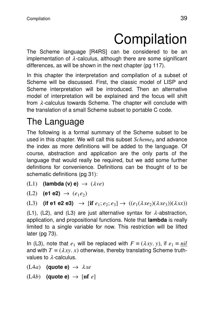# Compilation

The Scheme language [R4RS] can be considered to be an implementation of  $\lambda$ -calculus, although there are some significant differences, as will be shown in the next chapter (pg 117).

In this chapter the interpretation and compilation of a subset of Scheme will be discussed. First, the classic model of LISP and Scheme interpretation will be introduced. Then an alternative model of interpretation will be explained and the focus will shift from  $\lambda$ -calculus towards Scheme. The chapter will conclude with the translation of a small Scheme subset to portable C code.

## The Language

The following is a formal summary of the Scheme subset to be used in this chapter. We will call this subset *Scheme*<sup>0</sup> and advance the index as more definitions will be added to the language. Of course, abstraction and application are the only parts of the language that would really be required, but we add some further definitions for convenience. Definitions can be thought of to be schematic definitions (pg 31):

**(L1) (lambda (v) e)**  $\rightarrow$   $(\lambda ve)$ 

 $(L2)$  (e1 e2) →  $(e_1e_2)$ 

```
(L3) (if e1 e2 e3) \rightarrow [if e_1; e_2; e_3] \rightarrow ((e_1(\lambda x e_2)(\lambda x e_3))(\lambda xx))
```
(L1), (L2), and (L3) are just alternative syntax for  $\lambda$ -abstraction, application, and propositional functions. Note that **lambda** is really limited to a single variable for now. This restriction will be lifted later (pg 73).

In (L3), note that  $e_1$  will be replaced with  $F \equiv (\lambda xy, y)$ , if  $e_1 \equiv nil$ and with  $T = (\lambda xy, x)$  otherwise, thereby translating Scheme truthvalues to  $\lambda$ -calculus.

 $(L4a)$  **(quote e)**  $\rightarrow \lambda xe$ 

 $(L4b)$  **(quote e)**  $\rightarrow$  [nf *e*]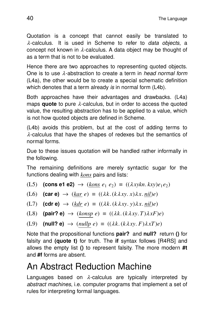Quotation is a concept that cannot easily be translated to  $\lambda$ -calculus. It is used in Scheme to refer to *data objects*, a concept not known in  $\lambda$ -calculus. A data object may be thought of as a term that is not to be evaluated.

Hence there are two approaches to representing quoted objects. One is to use  $\lambda$ -abstraction to create a term in *head normal form* (L4a), the other would be to create a special schematic definition which denotes that a term already is in normal form  $(L4b)$ .

Both approaches have their advantages and drawbacks. (L4a) maps **quote** to pure λ-calculus, but in order to access the quoted value, the resulting abstraction has to be applied to a value, which is not how quoted objects are defined in Scheme.

(L4b) avoids this problem, but at the cost of adding terms to  $\lambda$ -calculus that have the shapes of redexes but the semantics of normal forms.

Due to these issues quotation will be handled rather informally in the following.

The remaining definitions are merely syntactic sugar for the functions dealing with *kons* pairs and lists:

(L5) **(cons e1 e2)**  $\rightarrow$   $(\underline{kons} \ e_1 \ e_2) \equiv ((\lambda xykn, kxy)e_1e_2)$ 

(L6)  $(\text{car } e) \rightarrow (kar \ e) \equiv ((\lambda k. (k \lambda xy. x) \lambda x. nil)e)$ 

(L7) **(cdr e)**  $\rightarrow$  (*kdr e*)  $\equiv$  (( $\lambda k$ . (*k* $\lambda xy$ . *y*) $\lambda x$ . *nil*)*e*)

(L8) **(pair? e)**  $\rightarrow$  (*konsp e*)  $\equiv$  (( $\lambda k. (k \lambda xy. T) \lambda xF$ )*e*)

$$
(L9) \quad (\text{null? e}) \rightarrow (nullp \ e) \equiv ((\lambda k. (k \lambda xy. F) \lambda xT)e)
$$

Note that the propositional functions **pair?** and **null?** return () for falsity and **(quote t)** for truth. The **if** syntax follows [R4RS] and allows the empty list **()** to represent falsity. The more modern **#t** and **#f** forms are absent.

### An Abstract Reduction Machine

Languages based on  $\lambda$ -calculus are typically interpreted by abstract machines, i.e. computer programs that implement a set of rules for interpreting formal languages.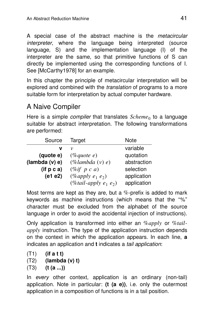A special case of the abstract machine is the *metacircular* interpreter, where the language being interpreted (source language, S) and the implementation language (I) of the interpreter are the same, so that primitive functions of S can directly be implemented using the corresponding functions of I. See [McCarthy1978] for an example.

In this chapter the principle of metacircular interpretation will be explored and combined with the *translation* of programs to a more suitable form for interpretation by actual computer hardware.

### A Naive Compiler

Here is a simple *compiler* that translates  $Scheme_0$  to a language suitable for abstract interpretation. The following transformations are perfor med:

| Source          | Target                    | <b>Note</b> |
|-----------------|---------------------------|-------------|
| ν               | ν                         | variable    |
| (quote e)       | $(\%$ quote e)            | quotation   |
| (lambda(v) e)   | $(\%$ lambda $(v)$ e)     | abstraction |
| $($ if $p c a)$ | $(\%if\ p\ c\ a)$         | selection   |
| (e1 e2)         | $(\%apply e_1 e_2)$       | application |
|                 | $(\% tail-apply e_1 e_2)$ | application |

Most terms are kept as they are, but a  $%$ -prefix is added to mark keywords as machine instructions (which means that the ''%'' character must be excluded from the alphabet of the source language in order to avoid the accidental injection of instructions).

Only application is transformed into either an  $\%apply$  or  $\%tail$ *apply* instruction. The type of the application instruction depends on the context in which the application appears. In each line, **a** indicates an application and **t** indicates a tail application:

(T1) **(if a t t)**

- (T2) **(lambda (v) t)**
- (T3) **(t (a ...))**

In every other context, application is an ordinary (non-tail) application. Note in particular: (t (a e)), i.e. only the outermost application in a composition of functions is in a tail position.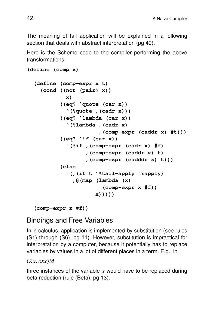The meaning of tail application will be explained in a following section that deals with abstract interpretation (pg 49).

Here is the Scheme code to the compiler performing the above transformations:

```
(define (comp x)
(define (comp-expr x t)
  (cond ((not (pair? x))
          x)
        ((eq? 'quote (car x))
          '(%quote ,(cadr x)))
        ((eq? 'lambda (car x))
          '(%lambda ,(cadr x)
                     ,(comp-expr (caddr x) #t)))
        ((eq? 'if (car x))
          '(%if ,(comp-expr (cadr x) #f)
                ,(comp-expr (caddr x) t)
                ,(comp-expr (cadddr x) t)))
        (else
          '(,(if t '%tail-apply '%apply)
            ,@(map (lambda (x)
                      (comp-expr x #f))
                   x)))))
```

```
(comp-expr x #f))
```
#### **Bindings and Free Variables**

In  $\lambda$ -calculus, application is implemented by substitution (see rules (S1) through (S6), pg 11). However, substitution is impractical for interpretation by a computer, because it potentially has to replace variables by values in a lot of different places in a term. E.g., in

 $(\lambda x.$ *xxx* $)$ *M* 

three instances of the variable  $x$  would have to be replaced during beta reduction (rule (Beta), pg 13).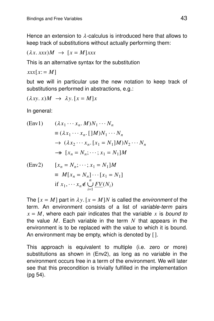Hence an extension to  $\lambda$ -calculus is introduced here that allows to keep track of substitutions without actually performing them:

$$
(\lambda x. xxx)M \rightarrow [x = M]xxx
$$

This is an alternative syntax for the substitution

 $xxx[x := M]$ 

but we will in particular use the new notation to keep track of substitutions performed in abstractions, e.g.:

$$
(\lambda xy. x)M \rightarrow \lambda y. [x = M]x
$$

In general:

(Env1) 
$$
(\lambda x_1 \cdots x_n. M)N_1 \cdots N_n
$$

$$
\equiv (\lambda x_1 \cdots x_n. [M]N_1 \cdots N_n
$$

$$
\rightarrow (\lambda x_2 \cdots x_n. [x_1 = N_1]M)N_2 \cdots N_n
$$

$$
\rightarrow [x_n = N_n; \cdots; x_1 = N_1]M
$$

(Env2) 
$$
[x_n = N_n; \dots; x_1 = N_1]M
$$

$$
\equiv M[x_n = N_n] \dots [x_1 = N_1]
$$

$$
\text{if } x_1, \dots, x_n \notin \bigcup_{i=1}^n \underbrace{FV(N_i)}_{\text{max}}
$$

The  $[x = M]$  part in  $\lambda y$ .  $[x = M]N$  is called the *environment* of the term. An environment consists of a list of variable-term pairs  $x = M$ , where each pair indicates that the variable x is bound to the value  $M$ . Each variable in the term  $N$  that appears in the environment is to be replaced with the value to which it is bound. An environment may be empty, which is denoted by [].

This approach is equivalent to multiple (i.e. zero or more) substitutions as shown in (Env2), as long as no variable in the environment occurs free in a term of the environment. We will later see that this precondition is trivially fulfilled in the implementation (pg 54).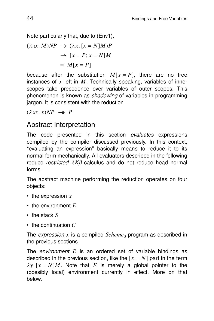Note particularly that, due to (Env1),

$$
(\lambda xx. M)NP \rightarrow (\lambda x. [x = N]M)P
$$

$$
\rightarrow [x = P; x = N]M
$$

$$
\equiv M[x = P]
$$

because after the substitution  $M[x = P]$ , there are no free instances of  $x$  left in  $M$ . Technically speaking, variables of inner scopes take precedence over variables of outer scopes. This phenomenon is known as *shadowing* of variables in programming jargon. It is consistent with the reduction

 $(\lambda xx. x)NP \rightarrow P$ 

#### Abstract Interpretation

The code presented in this section evaluates expressions compiled by the compiler discussed previously. In this context, ''ev aluating an expression'' basically means to reduce it to its normal form mechanically. All evaluators described in the following reduce restricted  $\lambda K\beta$ -calculus and do not reduce head normal forms.

The abstract machine performing the reduction operates on four objects:

- the expression *x*
- the environment *E*
- the stack *S*
- the continuation *C*

The *expression*  $\bar{x}$  is a compiled  $Scheme_0$  program as described in the previous sections.

The *environment*  $E$  is an ordered set of variable bindings as described in the previous section, like the  $[x = N]$  part in the term  $\lambda y$ .  $[x = N/M]$ . Note that *E* is merely a global pointer to the (possibly local) environment currently in effect. More on that below.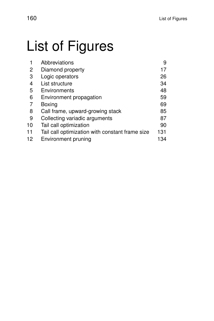# List of Figures

|    | Abbreviations                                   | 9   |
|----|-------------------------------------------------|-----|
| 2  | Diamond property                                | 17  |
| 3  | Logic operators                                 | 26  |
| 4  | List structure                                  | 34  |
| 5  | Environments                                    | 48  |
| 6  | Environment propagation                         | 59  |
| 7  | Boxing                                          | 69  |
| 8  | Call frame, upward-growing stack                | 85  |
| 9  | Collecting variadic arguments                   | 87  |
| 10 | Tail call optimization                          | 90  |
| 11 | Tail call optimization with constant frame size | 131 |
| 12 | <b>Environment pruning</b>                      | 134 |
|    |                                                 |     |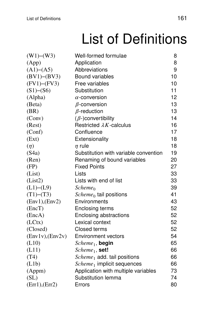# List of Definitions

| (W1)–(W3)         | Well-formed formulae                  | 8  |
|-------------------|---------------------------------------|----|
| (App)             | Application                           | 8  |
| (A1)–(A5)         | Abbreviations                         | 9  |
| (BV1)–(BV3)       | <b>Bound variables</b>                | 10 |
| $(FV1)$ – $(FV3)$ | Free variables                        | 10 |
| (S1)–(S6)         | Substitution                          | 11 |
| (Alpha)           | $\alpha$ -conversion                  | 12 |
| (Beta)            | $\beta$ -conversion                   | 13 |
| (BR)              | $\beta$ -reduction                    | 13 |
| (Conv)            | $(\beta)$ -convertibility             | 14 |
| (Rest)            | Restricted $\lambda K$ -calculus      | 16 |
| (Conf)            | Confluence                            | 17 |
| (Ext)             | Extensionality                        | 18 |
| $(\eta)$          | $\eta$ rule                           | 18 |
| (S4a)             | Substitution with variable convention | 19 |
| (Ren)             | Renaming of bound variables           | 20 |
| (FP)              | <b>Fixed Points</b>                   | 27 |
| (List)            | Lists                                 | 33 |
| (List2)           | Lists with end of list                | 33 |
| (L1)–(L9)         | $Scheme_0$                            | 39 |
| $(T1)$ – $(T3)$   | $Scheme_0$ tail positions             | 41 |
| (Env1), (Env2)    | Environments                          | 43 |
| (EncT)            | Enclosing terms                       | 52 |
| (EncA)            | Enclosing abstractions                | 52 |
| (LCtx)            | Lexical context                       | 52 |
| (Closed)          | <b>Closed terms</b>                   | 52 |
| (Env1v), (Env2v)  | <b>Environment vectors</b>            | 54 |
| (L10)             | $Scheme_1$ , begin                    | 65 |
| (L11)             | $Scheme_1$ , set!                     | 66 |
| (T4)              | $Scheme1$ add. tail positions         | 66 |
| (L1b)             | $Scheme_1$ implicit sequences         | 66 |
| (Appm)            | Application with multiple variables   | 73 |
| (SL)              | Substitution lemma                    | 74 |
| (Err1), (Err2)    | Errors                                | 80 |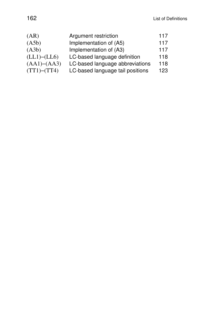| (AR)            | Argument restriction             | 117 |
|-----------------|----------------------------------|-----|
| ( A5b )         | Implementation of (A5)           | 117 |
| (A3b)           | Implementation of (A3)           | 117 |
| (LL1)–(LL6)     | LC-based language definition     | 118 |
| (AA1)–(AA3)     | LC-based language abbreviations  | 118 |
| $(TT1) - (TT4)$ | LC-based language tail positions | 123 |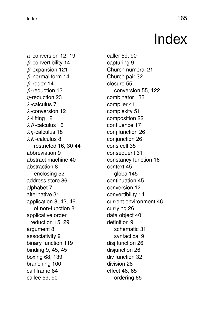### $\blacksquare$ Index  $\blacksquare$

## Index

 $\alpha$ -conversion 12, 19  $\beta$ -convertibility 14  $\beta$ -expansion 121  $\beta$ -normal form 14  $\beta$ -redex 14  $\beta$ -reduction 13  $n$ -reduction 23 λ-calculus 7 λ-conversion 12 λ-lifting 121  $\lambda$   $\beta$ -calculus 16  $\lambda$ *η*-calculus 18 <sup>λ</sup>*K*-calculus 8 restricted 16, 30 44 abbreviation 9 abstract machine 40 abstraction 8 enclosing 52 address store 86 alphabet 7 alternative 31 application 8, 42, 46 of non-function 81 applicative order reduction 15, 29 argument 8 associativity 9 binary function 119 binding 9, 45, 45 boxing 68, 139 branching 100 call frame 84 callee 59, 90

caller 59, 90 capturing 9 Church numeral 21 Church pair 32 closure 55 conversion 55, 122 combinator 133 compiler 41 complexity 51 composition 22 confluence 17 conj function 26 conjunction 26 cons cell 35 consequent 31 constancy function 16 context 45 global145 continuation 45 conversion 12 convertibility 14 current environment 46 currying 26 data object 40 definition 9 schematic 31 syntactical 9 disj function 26 disiunction 26 div function 32 division 28 effect 46, 65 ordering 65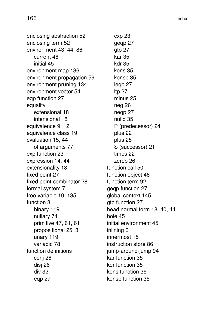enclosing abstraction 52 enclosing term 52 environment 43, 44, 86 current 46 initial 45 environment map 136 environment propagation 59 environment pruning 134 environment vector 54 ego function 27 equality extensional 18 intensional 18 equivalence 9, 12 equivalence class 19 evaluation 15, 44 of arguments 77 exp function 23 expression 14, 44 extensionality 18 fixed point 27 fixed point combinator 28 formal system 7 free variable 10, 135 function 8 binary 119 nullary 74 primitive 47, 61, 61 propositional 25, 31 unary 119 variadic 78 function definitions conj 26 disj 26 div 32 eqp 27

exp 23 geqp 27 gtp 27 kar 35 kdr 35 kons 35 konsp 35 leqp 27 ltp 27 minus 25 neg 26 neqp 27 nullp 35 P (predecessor) 24 plus 22 plus 25 S (successor) 21 times 22 zerop 26 function call 50 function object 46 function term 92 geqp function 27 global context 145 atp function 27 head normal form 18, 40, 44 hole 45 initial environment 45 inlining 61 innermost 15 instruction store 86 jump-around-jump 94 kar function 35 kdr function 35 kons function 35 konsp function 35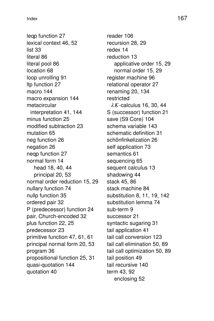leqp function 27 lexical context 46, 52 list 33 literal 86 literal pool 86 location 68 loop unrolling 91 ltp function 27 macro 144 macro expansion 144 metacircular interpretation 41, 144 minus function 25 modified subtraction 23 mutation 65 neg function 26 negation 26 neqp function 27 normal form 14 head 18, 40, 44 principal 20, 53 normal order reduction 15, 29 nullary function 74 nullp function 35 ordered pair 32 P (predecessor) function 24 pair, Church-encoded 32 plus function 22, 25 predecessor 23 primitive function 47, 61, 61 principal normal form 20, 53 program 36 propositional function 25, 31 quasi-quotation 144 quotation 40

reader 106 recursion 28, 29 redex 14 reduction 13 applicative order 15, 29 normal order 15, 29 register machine 96 relational operator 27 renaming 20, 134 restricted <sup>λ</sup>*K*-calculus 16, 30, 44 S (successor) function 21 save (S9 Core) 104 schema variable 143 schematic definition 31 schönfinkelization 26 self application 73 semantics 61 sequencing 65 sequent calculus 13 shadowing 44 stack 45, 86 stack machine 84 substitution 8, 11, 19, 142 substitution lemma 74 sub-term 9 successor 21 syntactic sugaring 31 tail application 41 tail call conversion 123 tail call elimination 50, 89 tail call optimization 50, 89 tail position 49 tail recursive 140 term 43, 92 enclosing 52